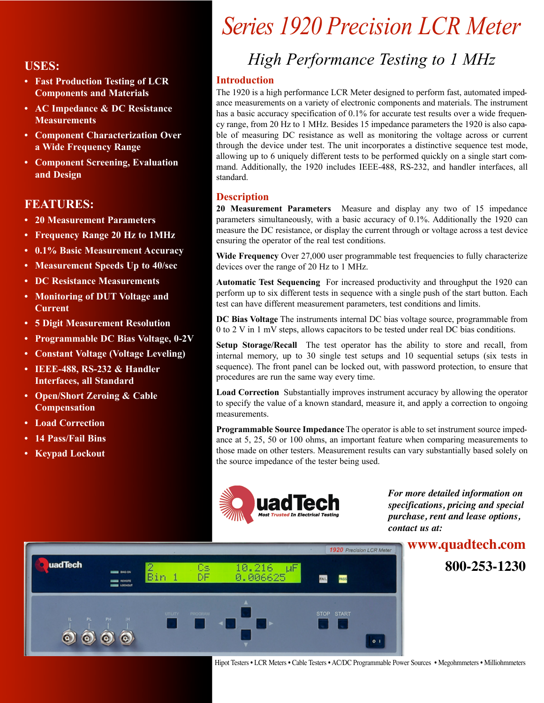- **• Fast Production Testing of LCR Components and Materials**
- **• AC Impedance & DC Resistance Measurements**
- **• Component Characterization Over a Wide Frequency Range**
- **• Component Screening, Evaluation and Design**

### **FEATURES:**

- **• 20 Measurement Parameters**
- **• Frequency Range 20 Hz to 1MHz**
- **• 0.1% Basic Measurement Accuracy**
- **• Measurement Speeds Up to 40/sec**
- **• DC Resistance Measurements**
- **• Monitoring of DUT Voltage and Current**
- **• 5 Digit Measurement Resolution**
- **• Programmable DC Bias Voltage, 0-2V**
- **• Constant Voltage (Voltage Leveling)**
- **• IEEE-488, RS-232 & Handler Interfaces, all Standard**
- **• Open/Short Zeroing & Cable Compensation**
- **• Load Correction**
- **• 14 Pass/Fail Bins**
- **• Keypad Lockout**

# *Series 1920 Precision LCR Meter*

# *High Performance Testing to 1 MHz* **USES:**

#### **Introduction**

The 1920 is a high performance LCR Meter designed to perform fast, automated impedance measurements on a variety of electronic components and materials. The instrument has a basic accuracy specification of 0.1% for accurate test results over a wide frequency range, from 20 Hz to 1 MHz. Besides 15 impedance parameters the 1920 is also capable of measuring DC resistance as well as monitoring the voltage across or current through the device under test. The unit incorporates a distinctive sequence test mode, allowing up to 6 uniquely different tests to be performed quickly on a single start command. Additionally, the 1920 includes IEEE-488, RS-232, and handler interfaces, all standard.

#### **Description**

**20 Measurement Parameters** Measure and display any two of 15 impedance parameters simultaneously, with a basic accuracy of 0.1%. Additionally the 1920 can measure the DC resistance, or display the current through or voltage across a test device ensuring the operator of the real test conditions.

**Wide Frequency** Over 27,000 user programmable test frequencies to fully characterize devices over the range of 20 Hz to 1 MHz.

**Automatic Test Sequencing** For increased productivity and throughput the 1920 can perform up to six different tests in sequence with a single push of the start button. Each test can have different measurement parameters, test conditions and limits.

**DC Bias Voltage** The instruments internal DC bias voltage source, programmable from 0 to 2 V in 1 mV steps, allows capacitors to be tested under real DC bias conditions.

**Setup Storage/Recall** The test operator has the ability to store and recall, from internal memory, up to 30 single test setups and 10 sequential setups (six tests in sequence). The front panel can be locked out, with password protection, to ensure that procedures are run the same way every time.

**Load Correction** Substantially improves instrument accuracy by allowing the operator to specify the value of a known standard, measure it, and apply a correction to ongoing measurements.

**Programmable Source Impedance** The operator is able to set instrument source impedance at 5, 25, 50 or 100 ohms, an important feature when comparing measurements to those made on other testers. Measurement results can vary substantially based solely on the source impedance of the tester being used.



*For more detailed information on specifications, pricing and special purchase, rent and lease options, contact us at:* 



Hipot Testers • LCR Meters • Cable Testers • AC/DC Programmable Power Sources • Megohmmeters • Milliohmmeters